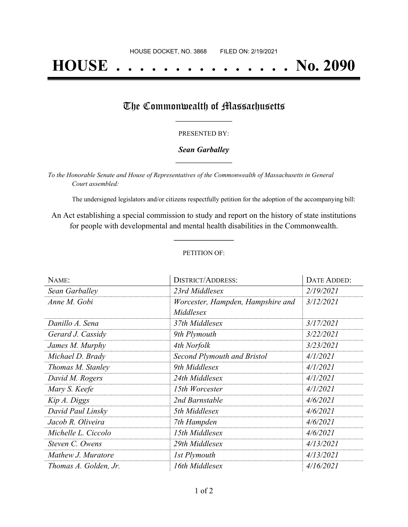# **HOUSE . . . . . . . . . . . . . . . No. 2090**

### The Commonwealth of Massachusetts

#### PRESENTED BY:

#### *Sean Garballey* **\_\_\_\_\_\_\_\_\_\_\_\_\_\_\_\_\_**

*To the Honorable Senate and House of Representatives of the Commonwealth of Massachusetts in General Court assembled:*

The undersigned legislators and/or citizens respectfully petition for the adoption of the accompanying bill:

An Act establishing a special commission to study and report on the history of state institutions for people with developmental and mental health disabilities in the Commonwealth.

**\_\_\_\_\_\_\_\_\_\_\_\_\_\_\_**

#### PETITION OF:

| NAME:                 | <b>DISTRICT/ADDRESS:</b>                       | DATE ADDED: |
|-----------------------|------------------------------------------------|-------------|
| Sean Garballey        | 23rd Middlesex                                 | 2/19/2021   |
| Anne M. Gobi          | Worcester, Hampden, Hampshire and<br>Middlesex | 3/12/2021   |
| Danillo A. Sena       | 37th Middlesex                                 | 3/17/2021   |
| Gerard J. Cassidy     | 9th Plymouth                                   | 3/22/2021   |
| James M. Murphy       | 4th Norfolk                                    | 3/23/2021   |
| Michael D. Brady      | Second Plymouth and Bristol                    | 4/1/2021    |
| Thomas M. Stanley     | 9th Middlesex                                  | 4/1/2021    |
| David M. Rogers       | 24th Middlesex                                 | 4/1/2021    |
| Mary S. Keefe         | 15th Worcester                                 | 4/1/2021    |
| Kip A. Diggs          | 2nd Barnstable                                 | 4/6/2021    |
| David Paul Linsky     | 5th Middlesex                                  | 4/6/2021    |
| Jacob R. Oliveira     | 7th Hampden                                    | 4/6/2021    |
| Michelle L. Ciccolo   | 15th Middlesex                                 | 4/6/2021    |
| Steven C. Owens       | 29th Middlesex                                 | 4/13/2021   |
| Mathew J. Muratore    | 1st Plymouth                                   | 4/13/2021   |
| Thomas A. Golden, Jr. | 16th Middlesex                                 | 4/16/2021   |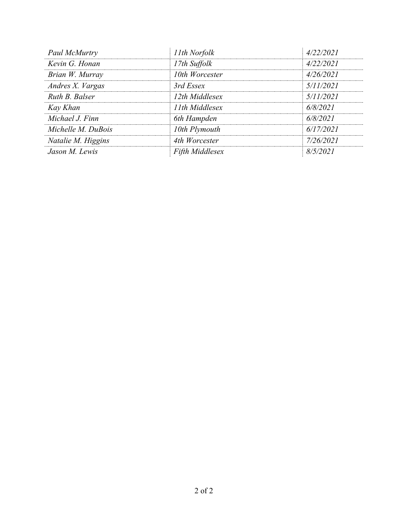| 11th Norfolk    | 4/22/2021 |
|-----------------|-----------|
| 17th Suffolk    | 4/22/2021 |
| 10th Worcester  | 4/26/2021 |
| 3rd Essex       | 5/11/2021 |
| 12th Middlesex  | 5/11/2021 |
| 11th Middlesex  | 6/8/2021  |
| 6th Hampden     | 6/8/2021  |
| 10th Plymouth   | 6/17/2021 |
| 4th Worcester   | 7/26/2021 |
| Fifth Middlesex | 8/5/2021  |
|                 |           |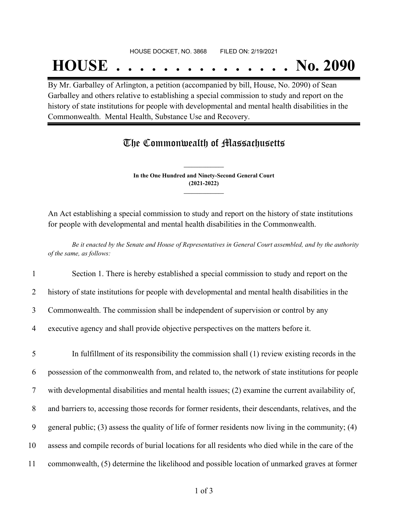## **HOUSE . . . . . . . . . . . . . . . No. 2090**

By Mr. Garballey of Arlington, a petition (accompanied by bill, House, No. 2090) of Sean Garballey and others relative to establishing a special commission to study and report on the history of state institutions for people with developmental and mental health disabilities in the Commonwealth. Mental Health, Substance Use and Recovery.

## The Commonwealth of Massachusetts

**In the One Hundred and Ninety-Second General Court (2021-2022) \_\_\_\_\_\_\_\_\_\_\_\_\_\_\_**

**\_\_\_\_\_\_\_\_\_\_\_\_\_\_\_**

An Act establishing a special commission to study and report on the history of state institutions for people with developmental and mental health disabilities in the Commonwealth.

Be it enacted by the Senate and House of Representatives in General Court assembled, and by the authority *of the same, as follows:*

1 Section 1. There is hereby established a special commission to study and report on the

2 history of state institutions for people with developmental and mental health disabilities in the

3 Commonwealth. The commission shall be independent of supervision or control by any

4 executive agency and shall provide objective perspectives on the matters before it.

 In fulfillment of its responsibility the commission shall (1) review existing records in the possession of the commonwealth from, and related to, the network of state institutions for people with developmental disabilities and mental health issues; (2) examine the current availability of, and barriers to, accessing those records for former residents, their descendants, relatives, and the general public; (3) assess the quality of life of former residents now living in the community; (4) assess and compile records of burial locations for all residents who died while in the care of the commonwealth, (5) determine the likelihood and possible location of unmarked graves at former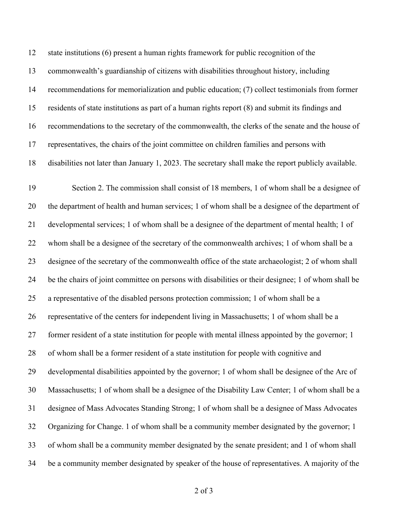state institutions (6) present a human rights framework for public recognition of the commonwealth's guardianship of citizens with disabilities throughout history, including recommendations for memorialization and public education; (7) collect testimonials from former residents of state institutions as part of a human rights report (8) and submit its findings and recommendations to the secretary of the commonwealth, the clerks of the senate and the house of representatives, the chairs of the joint committee on children families and persons with disabilities not later than January 1, 2023. The secretary shall make the report publicly available.

 Section 2. The commission shall consist of 18 members, 1 of whom shall be a designee of the department of health and human services; 1 of whom shall be a designee of the department of developmental services; 1 of whom shall be a designee of the department of mental health; 1 of whom shall be a designee of the secretary of the commonwealth archives; 1 of whom shall be a designee of the secretary of the commonwealth office of the state archaeologist; 2 of whom shall be the chairs of joint committee on persons with disabilities or their designee; 1 of whom shall be a representative of the disabled persons protection commission; 1 of whom shall be a representative of the centers for independent living in Massachusetts; 1 of whom shall be a former resident of a state institution for people with mental illness appointed by the governor; 1 of whom shall be a former resident of a state institution for people with cognitive and developmental disabilities appointed by the governor; 1 of whom shall be designee of the Arc of Massachusetts; 1 of whom shall be a designee of the Disability Law Center; 1 of whom shall be a designee of Mass Advocates Standing Strong; 1 of whom shall be a designee of Mass Advocates Organizing for Change. 1 of whom shall be a community member designated by the governor; 1 of whom shall be a community member designated by the senate president; and 1 of whom shall be a community member designated by speaker of the house of representatives. A majority of the